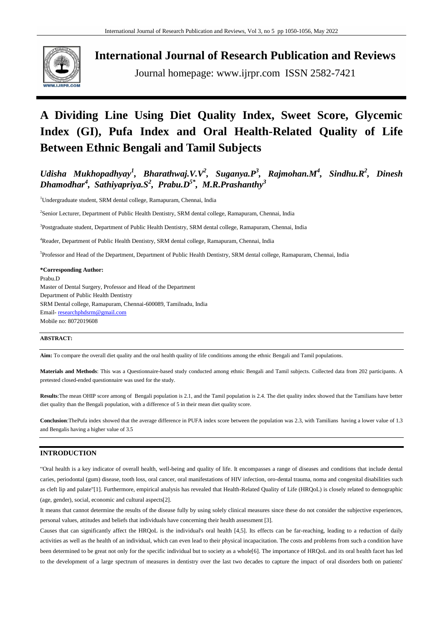

**International Journal of Research Publication and Reviews**

Journal homepage: www.ijrpr.com ISSN 2582-7421

# **A Dividing Line Using Diet Quality Index, Sweet Score, Glycemic Index (GI), Pufa Index and Oral Health-Related Quality of Life Between Ethnic Bengali and Tamil Subjects**

*Udisha Mukhopadhyay<sup>1</sup> , Bharathwaj.V.V<sup>2</sup> , Suganya.P<sup>3</sup> , Rajmohan.M<sup>4</sup> , Sindhu.R<sup>2</sup> , Dinesh Dhamodhar<sup>4</sup> , Sathiyapriya.S<sup>2</sup> , Prabu.D5\* , M.R.Prashanthy<sup>3</sup>*

<sup>1</sup>Undergraduate student, SRM dental college, Ramapuram, Chennai, India

2 Senior Lecturer, Department of Public Health Dentistry, SRM dental college, Ramapuram, Chennai, India

<sup>3</sup>Postgraduate student, Department of Public Health Dentistry, SRM dental college, Ramapuram, Chennai, India

<sup>4</sup>Reader, Department of Public Health Dentistry, SRM dental college, Ramapuram, Chennai, India

<sup>5</sup>Professor and Head of the Department, Department of Public Health Dentistry, SRM dental college, Ramapuram, Chennai, India

#### **\*Corresponding Author:**

Prabu.D Master of Dental Surgery, Professor and Head of the Department Department of Public Health Dentistry SRM Dental college, Ramapuram, Chennai-600089, Tamilnadu, India Email- [researchphdsrm@gmail.com](mailto:researchphdsrm@gmail.com) Mobile no: 8072019608

## **ABSTRACT:**

**Aim:** To compare the overall diet quality and the oral health quality of life conditions among the ethnic Bengali and Tamil populations.

**Materials and Methods**: This was a Questionnaire-based study conducted among ethnic Bengali and Tamil subjects. Collected data from 202 participants. A pretested closed-ended questionnaire was used for the study.

**Results**:The mean OHIP score among of Bengali population is 2.1, and the Tamil population is 2.4. The diet quality index showed that the Tamilians have better diet quality than the Bengali population, with a difference of 5 in their mean diet quality score.

**Conclusion**:ThePufa index showed that the average difference in PUFA index score between the population was 2.3, with Tamilians having a lower value of 1.3 and Bengalis having a higher value of 3.5

## **INTRODUCTION**

"Oral health is a key indicator of overall health, well-being and quality of life. It encompasses a range of diseases and conditions that include dental caries, periodontal (gum) disease, tooth loss, oral cancer, oral manifestations of HIV infection, oro-dental trauma, noma and congenital disabilities such as cleft lip and palate"[1]. Furthermore, empirical analysis has revealed that Health-Related Quality of Life (HRQoL) is closely related to demographic (age, gender), social, economic and cultural aspects[2].

It means that cannot determine the results of the disease fully by using solely clinical measures since these do not consider the subjective experiences, personal values, attitudes and beliefs that individuals have concerning their health assessment [3].

Causes that can significantly affect the HRQoL is the individual's oral health [4,5]. Its effects can be far-reaching, leading to a reduction of daily activities as well as the health of an individual, which can even lead to their physical incapacitation. The costs and problems from such a condition have been determined to be great not only for the specific individual but to society as a whole[6]. The importance of HROoL and its oral health facet has led to the development of a large spectrum of measures in dentistry over the last two decades to capture the impact of oral disorders both on patients'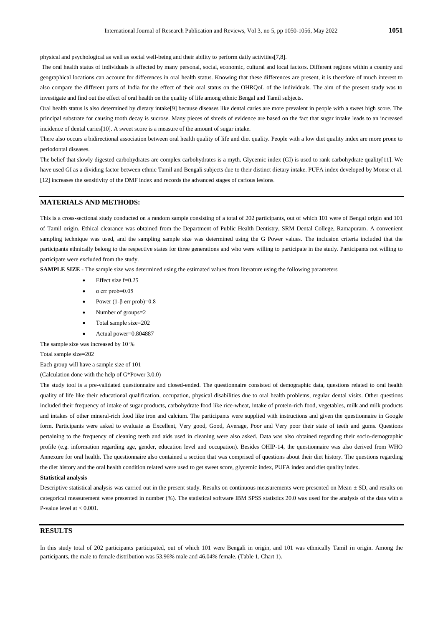physical and psychological as well as social well-being and their ability to perform daily activities[7,8].

The oral health status of individuals is affected by many personal, social, economic, cultural and local factors. Different regions within a country and geographical locations can account for differences in oral health status. Knowing that these differences are present, it is therefore of much interest to also compare the different parts of India for the effect of their oral status on the OHRQoL of the individuals. The aim of the present study was to investigate and find out the effect of oral health on the quality of life among ethnic Bengal and Tamil subjects.

Oral health status is also determined by dietary intake[9] because diseases like dental caries are more prevalent in people with a sweet high score. The principal substrate for causing tooth decay is sucrose. Many pieces of shreds of evidence are based on the fact that sugar intake leads to an increased incidence of dental caries[10]. A sweet score is a measure of the amount of sugar intake.

There also occurs a bidirectional association between oral health quality of life and diet quality. People with a low diet quality index are more prone to periodontal diseases.

The belief that slowly digested carbohydrates are complex carbohydrates is a myth. Glycemic index (GI) is used to rank carbohydrate quality[11]. We have used GI as a dividing factor between ethnic Tamil and Bengali subjects due to their distinct dietary intake. PUFA index developed by Monse et al. [12] increases the sensitivity of the DMF index and records the advanced stages of carious lesions.

## **MATERIALS AND METHODS:**

This is a cross-sectional study conducted on a random sample consisting of a total of 202 participants, out of which 101 were of Bengal origin and 101 of Tamil origin. Ethical clearance was obtained from the Department of Public Health Dentistry, SRM Dental College, Ramapuram. A convenient sampling technique was used, and the sampling sample size was determined using the G Power values. The inclusion criteria included that the participants ethnically belong to the respective states for three generations and who were willing to participate in the study. Participants not willing to participate were excluded from the study.

**SAMPLE SIZE -** The sample size was determined using the estimated values from literature using the following parameters

- Effect size f=0.25
- α err prob=0.05
- Power  $(1-\beta$  err prob)=0.8
- Number of groups=2
- Total sample size=202
- Actual power=0.804887

The sample size was increased by 10 %

Total sample size=202

Each group will have a sample size of 101

(Calculation done with the help of G\*Power 3.0.0)

The study tool is a pre-validated questionnaire and closed-ended. The questionnaire consisted of demographic data, questions related to oral health quality of life like their educational qualification, occupation, physical disabilities due to oral health problems, regular dental visits. Other questions included their frequency of intake of sugar products, carbohydrate food like rice-wheat, intake of protein-rich food, vegetables, milk and milk products and intakes of other mineral-rich food like iron and calcium. The participants were supplied with instructions and given the questionnaire in Google form. Participants were asked to evaluate as Excellent, Very good, Good, Average, Poor and Very poor their state of teeth and gums. Questions pertaining to the frequency of cleaning teeth and aids used in cleaning were also asked. Data was also obtained regarding their socio-demographic profile (e.g. information regarding age, gender, education level and occupation). Besides OHIP-14, the questionnaire was also derived from WHO Annexure for oral health. The questionnaire also contained a section that was comprised of questions about their diet history. The questions regarding the diet history and the oral health condition related were used to get sweet score, glycemic index, PUFA index and diet quality index.

#### **Statistical analysis**

Descriptive statistical analysis was carried out in the present study. Results on continuous measurements were presented on Mean ± SD, and results on categorical measurement were presented in number (%). The statistical software IBM SPSS statistics 20.0 was used for the analysis of the data with a P-value level at  $< 0.001$ .

#### **RESULTS**

In this study total of 202 participants participated, out of which 101 were Bengali in origin, and 101 was ethnically Tamil in origin. Among the participants, the male to female distribution was 53.96% male and 46.04% female. (Table 1, Chart 1).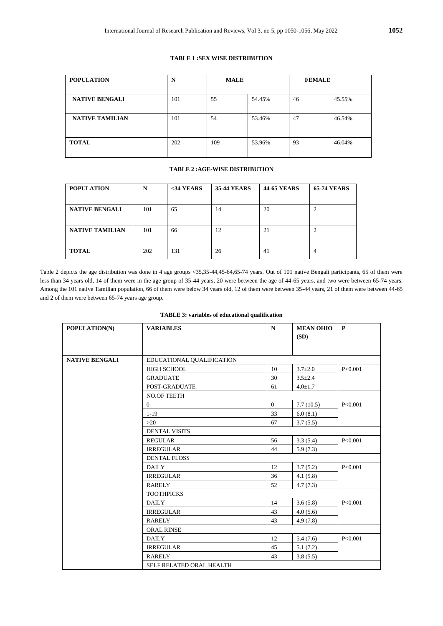#### **TABLE 1 :SEX WISE DISTRIBUTION**

| <b>POPULATION</b>      | N   | <b>MALE</b> |        | <b>FEMALE</b> |        |
|------------------------|-----|-------------|--------|---------------|--------|
| <b>NATIVE BENGALI</b>  | 101 | 55          | 54.45% | 46            | 45.55% |
| <b>NATIVE TAMILIAN</b> | 101 | 54          | 53.46% | 47            | 46.54% |
| <b>TOTAL</b>           | 202 | 109         | 53.96% | 93            | 46.04% |

## **TABLE 2 :AGE-WISE DISTRIBUTION**

| <b>POPULATION</b>      | N   | $34 YEARS$ | <b>35-44 YEARS</b> | <b>44-65 YEARS</b> | <b>65-74 YEARS</b> |
|------------------------|-----|------------|--------------------|--------------------|--------------------|
|                        |     |            |                    |                    |                    |
| <b>NATIVE BENGALI</b>  | 101 | 65         | 14                 | 20                 |                    |
| <b>NATIVE TAMILIAN</b> | 101 |            | 12                 | 21                 | ◠                  |
|                        |     | 66         |                    |                    |                    |
| <b>TOTAL</b>           | 202 | 131        | 26                 | 41                 |                    |

Table 2 depicts the age distribution was done in 4 age groups <35,35-44,45-64,65-74 years. Out of 101 native Bengali participants, 65 of them were less than 34 years old, 14 of them were in the age group of 35-44 years, 20 were between the age of 44-65 years, and two were between 65-74 years. Among the 101 native Tamilian population, 66 of them were below 34 years old, 12 of them were between 35-44 years, 21 of them were between 44-65 and 2 of them were between 65-74 years age group.

| POPULATION(N)         | <b>VARIABLES</b>          | $\mathbf N$    | <b>MEAN OHIO</b><br>(SD) | $\mathbf{P}$ |  |  |
|-----------------------|---------------------------|----------------|--------------------------|--------------|--|--|
| <b>NATIVE BENGALI</b> | EDUCATIONAL QUALIFICATION |                |                          |              |  |  |
|                       | <b>HIGH SCHOOL</b>        | 10             | $3.7 \pm 2.0$            | P<0.001      |  |  |
|                       | <b>GRADUATE</b>           | 30             | $3.5 \pm 2.4$            |              |  |  |
|                       | POST-GRADUATE             | 61             | $4.0 \pm 1.7$            |              |  |  |
|                       | NO.OF TEETH               |                |                          |              |  |  |
|                       | $\Omega$                  | $\overline{0}$ | 7.7(10.5)                | P<0.001      |  |  |
|                       | $1 - 19$                  | 33             | 6.0(8.1)                 |              |  |  |
|                       | >20                       | 67             | 3.7(5.5)                 |              |  |  |
|                       | <b>DENTAL VISITS</b>      |                |                          |              |  |  |
|                       | <b>REGULAR</b>            | 56             | 3.3(5.4)                 | P<0.001      |  |  |
|                       | <b>IRREGULAR</b>          | 44             | 5.9(7.3)                 |              |  |  |
|                       | <b>DENTAL FLOSS</b>       |                |                          |              |  |  |
|                       | <b>DAILY</b>              | 12             | 3.7(5.2)                 | P<0.001      |  |  |
|                       | <b>IRREGULAR</b>          | 36             | 4.1(5.8)                 |              |  |  |
|                       | <b>RARELY</b>             | 52             | 4.7(7.3)                 |              |  |  |
|                       | <b>TOOTHPICKS</b>         |                |                          |              |  |  |
|                       | <b>DAILY</b>              | 14             | 3.6(5.8)                 | P<0.001      |  |  |
|                       | <b>IRREGULAR</b>          | 43             | 4.0(5.6)                 |              |  |  |
|                       | <b>RARELY</b>             | 43             | 4.9(7.8)                 |              |  |  |
|                       | ORAL RINSE                |                |                          |              |  |  |
|                       | <b>DAILY</b>              | 12             | 5.4(7.6)                 | P<0.001      |  |  |
|                       | <b>IRREGULAR</b>          | 45             | 5.1(7.2)                 |              |  |  |
|                       | <b>RARELY</b>             | 43             | 3.8(5.5)                 |              |  |  |
|                       | SELF RELATED ORAL HEALTH  |                |                          |              |  |  |

| <b>TABLE 3: variables of educational qualification</b> |  |  |  |  |
|--------------------------------------------------------|--|--|--|--|
|--------------------------------------------------------|--|--|--|--|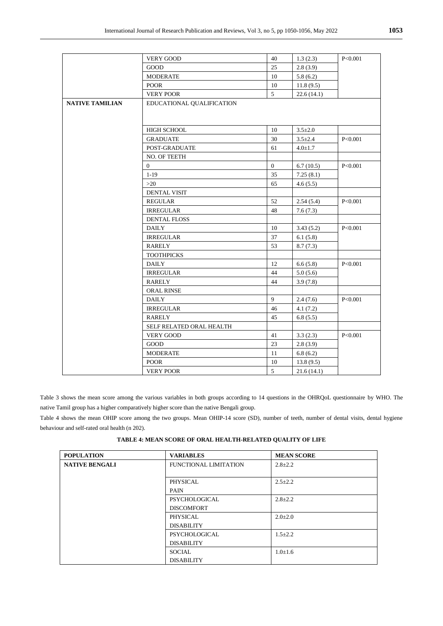|                        | <b>VERY GOOD</b>          | 40           | 1.3(2.3)      | P<0.001 |
|------------------------|---------------------------|--------------|---------------|---------|
|                        | <b>GOOD</b>               | 25           | 2.8(3.9)      |         |
|                        | <b>MODERATE</b>           | 10           | 5.8(6.2)      |         |
|                        | <b>POOR</b>               | $10\,$       | 11.8(9.5)     |         |
|                        | <b>VERY POOR</b>          | 5            | 22.6(14.1)    |         |
| <b>NATIVE TAMILIAN</b> | EDUCATIONAL QUALIFICATION |              |               |         |
|                        | HIGH SCHOOL               | 10           | $3.5 \pm 2.0$ |         |
|                        | <b>GRADUATE</b>           | 30           | $3.5 \pm 2.4$ | P<0.001 |
|                        | POST-GRADUATE             | 61           | $4.0 \pm 1.7$ |         |
|                        | NO. OF TEETH              |              |               |         |
|                        | $\overline{0}$            | $\mathbf{0}$ | 6.7(10.5)     | P<0.001 |
|                        | $1-19$                    | 35           | 7.25(8.1)     |         |
|                        | >20                       | 65           | 4.6(5.5)      |         |
|                        | DENTAL VISIT              |              |               |         |
|                        | <b>REGULAR</b>            | 52           | 2.54(5.4)     | P<0.001 |
|                        | <b>IRREGULAR</b>          | 48           | 7.6(7.3)      |         |
|                        | <b>DENTAL FLOSS</b>       |              |               |         |
|                        | <b>DAILY</b>              | 10           | 3.43(5.2)     | P<0.001 |
|                        | <b>IRREGULAR</b>          | 37           | 6.1(5.8)      |         |
|                        | RARELY                    | 53           | 8.7(7.3)      |         |
|                        | <b>TOOTHPICKS</b>         |              |               |         |
|                        | <b>DAILY</b>              | 12           | 6.6(5.8)      | P<0.001 |
|                        | <b>IRREGULAR</b>          | 44           | 5.0(5.6)      |         |
|                        | <b>RARELY</b>             | 44           | 3.9(7.8)      |         |
|                        | <b>ORAL RINSE</b>         |              |               |         |
|                        | <b>DAILY</b>              | 9            | 2.4(7.6)      | P<0.001 |
|                        | <b>IRREGULAR</b>          | 46           | 4.1(7.2)      |         |
|                        | <b>RARELY</b>             | 45           | 6.8(5.5)      |         |
|                        | SELF RELATED ORAL HEALTH  |              |               |         |
|                        | <b>VERY GOOD</b>          | 41           | 3.3(2.3)      | P<0.001 |
|                        | GOOD                      | 23           | 2.8(3.9)      |         |
|                        | <b>MODERATE</b>           | 11           | 6.8(6.2)      |         |
|                        | <b>POOR</b>               | 10           | 13.8(9.5)     |         |
|                        | <b>VERY POOR</b>          | 5            | 21.6(14.1)    |         |

Table 3 shows the mean score among the various variables in both groups according to 14 questions in the OHRQoL questionnaire by WHO. The native Tamil group has a higher comparatively higher score than the native Bengali group.

Table 4 shows the mean OHIP score among the two groups. Mean OHIP-14 score (SD), number of teeth, number of dental visits, dental hygiene behaviour and self-rated oral health (n 202).

**TABLE 4: MEAN SCORE OF ORAL HEALTH-RELATED QUALITY OF LIFE**

| <b>POPULATION</b>     | <b>VARIABLES</b>      | <b>MEAN SCORE</b> |
|-----------------------|-----------------------|-------------------|
| <b>NATIVE BENGALI</b> | FUNCTIONAL LIMITATION | $2.8 \pm 2.2$     |
|                       |                       |                   |
|                       | PHYSICAL              | $2.5 \pm 2.2$     |
|                       | <b>PAIN</b>           |                   |
|                       | PSYCHOLOGICAL         | $2.8 \pm 2.2$     |
|                       | <b>DISCOMFORT</b>     |                   |
|                       | PHYSICAL              | $2.0 \pm 2.0$     |
|                       | <b>DISABILITY</b>     |                   |
|                       | PSYCHOLOGICAL         | $1.5 \pm 2.2$     |
|                       | <b>DISABILITY</b>     |                   |
|                       | <b>SOCIAL</b>         | $1.0 \pm 1.6$     |
|                       | <b>DISABILITY</b>     |                   |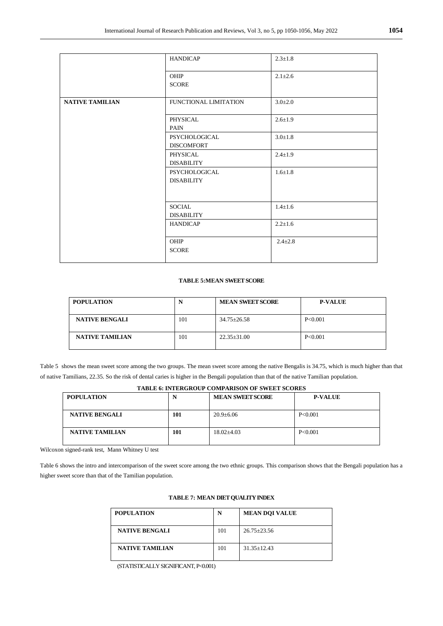|                        | <b>HANDICAP</b>                           | $2.3 \pm 1.8$ |
|------------------------|-------------------------------------------|---------------|
|                        | OHIP<br><b>SCORE</b>                      | $2.1 \pm 2.6$ |
| <b>NATIVE TAMILIAN</b> | FUNCTIONAL LIMITATION                     | $3.0 \pm 2.0$ |
|                        | PHYSICAL<br><b>PAIN</b>                   | $2.6 \pm 1.9$ |
|                        | <b>PSYCHOLOGICAL</b><br><b>DISCOMFORT</b> | $3.0 \pm 1.8$ |
|                        | PHYSICAL<br><b>DISABILITY</b>             | $2.4 \pm 1.9$ |
|                        | PSYCHOLOGICAL<br><b>DISABILITY</b>        | $1.6 \pm 1.8$ |
|                        |                                           |               |
|                        | <b>SOCIAL</b><br><b>DISABILITY</b>        | $1.4 \pm 1.6$ |
|                        | <b>HANDICAP</b>                           | $2.2 \pm 1.6$ |
|                        | OHIP<br><b>SCORE</b>                      | $2.4 \pm 2.8$ |

## **TABLE 5:MEAN SWEET SCORE**

| <b>POPULATION</b>      | N   | <b>MEAN SWEET SCORE</b> | <b>P-VALUE</b> |
|------------------------|-----|-------------------------|----------------|
| <b>NATIVE BENGALI</b>  | 101 | $34.75 \pm 26.58$       | P<0.001        |
| <b>NATIVE TAMILIAN</b> | 101 | $22.35 \pm 31.00$       | P<0.001        |

Table 5 shows the mean sweet score among the two groups. The mean sweet score among the native Bengalis is 34.75, which is much higher than that of native Tamilians, 22.35. So the risk of dental caries is higher in the Bengali population than that of the native Tamilian population.

**TABLE 6: INTERGROUP COMPARISON OF SWEET SCORES**

| 111000 011111010000 00.000 00.000 01 0 0 00.000 |     |                         |                |  |  |
|-------------------------------------------------|-----|-------------------------|----------------|--|--|
| <b>POPULATION</b>                               | N   | <b>MEAN SWEET SCORE</b> | <b>P-VALUE</b> |  |  |
| <b>NATIVE BENGALI</b>                           | 101 | $20.9 \pm 6.06$         | P<0.001        |  |  |
| <b>NATIVE TAMILIAN</b>                          | 101 | $18.02{\pm}4.03$        | P<0.001        |  |  |

Wilcoxon signed-rank test, Mann Whitney U test

Table 6 shows the intro and intercomparison of the sweet score among the two ethnic groups. This comparison shows that the Bengali population has a higher sweet score than that of the Tamilian population.

| <b>POPULATION</b>      | N   | <b>MEAN DOI VALUE</b> |
|------------------------|-----|-----------------------|
| <b>NATIVE BENGALI</b>  | 101 | $26.75 + 23.56$       |
| <b>NATIVE TAMILIAN</b> | 101 | $31.35 \pm 12.43$     |

## **TABLE 7: MEAN DIET QUALITY INDEX**

(STATISTICALLY SIGNIFICANT, P<0.001)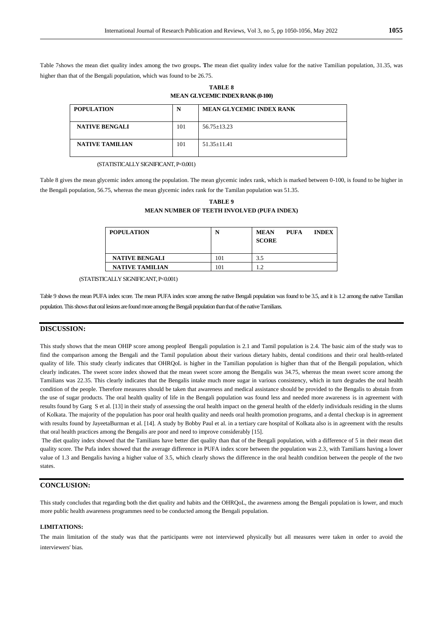Table 7shows the mean diet quality index among the two groups**. T**he mean diet quality index value for the native Tamilian population, 31.35, was higher than that of the Bengali population, which was found to be 26.75.

**TABLE 8 MEAN GLYCEMIC INDEX RANK (0-100)**

| <b>POPULATION</b>      | N   | <b>MEAN GLYCEMIC INDEX RANK</b> |
|------------------------|-----|---------------------------------|
| <b>NATIVE BENGALI</b>  | 101 | $56.75 + 13.23$                 |
| <b>NATIVE TAMILIAN</b> | 101 | $51.35 + 11.41$                 |

(STATISTICALLY SIGNIFICANT, P<0.001)

Table 8 gives the mean glycemic index among the population. The mean glycemic index rank, which is marked between 0-100, is found to be higher in the Bengali population, 56.75, whereas the mean glycemic index rank for the Tamilan population was 51.35.

| <b>TABLE 9</b>                             |  |
|--------------------------------------------|--|
| MEAN NUMBER OF TEETH INVOLVED (PUFA INDEX) |  |

| <b>POPULATION</b>      | N   | <b>MEAN</b><br><b>SCORE</b> | <b>PUFA</b> | <b>INDEX</b> |
|------------------------|-----|-----------------------------|-------------|--------------|
| <b>NATIVE BENGALI</b>  | 101 | 3.5                         |             |              |
| <b>NATIVE TAMILIAN</b> | 101 | 1.2                         |             |              |

(STATISTICALLY SIGNIFICANT, P<0.001)

Table 9 shows the mean PUFA index score. The mean PUFA index score among the native Bengali population was found to be 3.5, and it is 1.2 among the native Tamilian population. This shows that oral lesions are found more among the Bengali population than that of the native Tamilians.

#### **DISCUSSION:**

This study shows that the mean OHIP score among peopleof Bengali population is 2.1 and Tamil population is 2.4. The basic aim of the study was to find the comparison among the Bengali and the Tamil population about their various dietary habits, dental conditions and their oral health-related quality of life. This study clearly indicates that OHRQoL is higher in the Tamilian population is higher than that of the Bengali population, which clearly indicates. The sweet score index showed that the mean sweet score among the Bengalis was 34.75, whereas the mean sweet score among the Tamilians was 22.35. This clearly indicates that the Bengalis intake much more sugar in various consistency, which in turn degrades the oral health condition of the people. Therefore measures should be taken that awareness and medical assistance should be provided to the Bengalis to abstain from the use of sugar products. The oral health quality of life in the Bengali population was found less and needed more awareness is in agreement with results found by Garg S et al. [13] in their study of assessing the oral health impact on the general health of the elderly individuals residing in the slums of Kolkata. The majority of the population has poor oral health quality and needs oral health promotion programs, and a dental checkup is in agreement with results found by JayeetaBurman et al. [14]. A study by Bobby Paul et al. in a tertiary care hospital of Kolkata also is in agreement with the results that oral health practices among the Bengalis are poor and need to improve considerably [15].

The diet quality index showed that the Tamilians have better diet quality than that of the Bengali population, with a difference of 5 in their mean diet quality score. The Pufa index showed that the average difference in PUFA index score between the population was 2.3, with Tamilians having a lower value of 1.3 and Bengalis having a higher value of 3.5, which clearly shows the difference in the oral health condition between the people of the two states.

## **CONCLUSION:**

This study concludes that regarding both the diet quality and habits and the OHROoL, the awareness among the Bengali population is lower, and much more public health awareness programmes need to be conducted among the Bengali population.

#### **LIMITATIONS:**

The main limitation of the study was that the participants were not interviewed physically but all measures were taken in order to avoid the interviewers' bias.